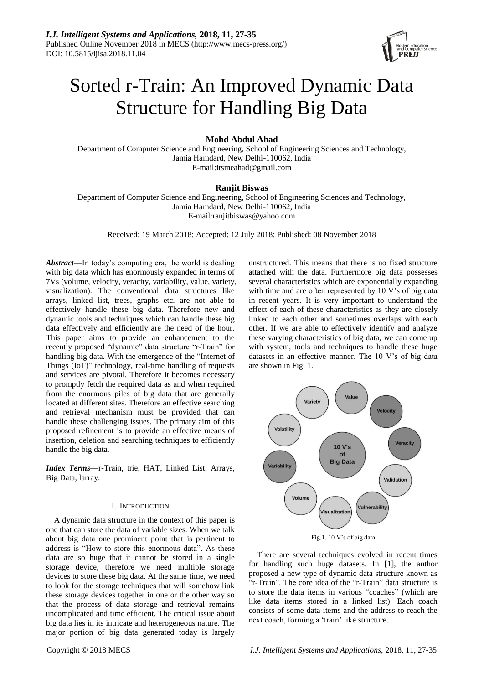

# Sorted r-Train: An Improved Dynamic Data Structure for Handling Big Data

# **Mohd Abdul Ahad**

Department of Computer Science and Engineering, School of Engineering Sciences and Technology, Jamia Hamdard, New Delhi-110062, India E-mail:itsmeahad@gmail.com

## **Ranjit Biswas**

Department of Computer Science and Engineering, School of Engineering Sciences and Technology, Jamia Hamdard, New Delhi-110062, India E-mail:ranjitbiswas@yahoo.com

Received: 19 March 2018; Accepted: 12 July 2018; Published: 08 November 2018

*Abstract*—In today's computing era, the world is dealing with big data which has enormously expanded in terms of 7Vs (volume, velocity, veracity, variability, value, variety, visualization). The conventional data structures like arrays, linked list, trees, graphs etc. are not able to effectively handle these big data. Therefore new and dynamic tools and techniques which can handle these big data effectively and efficiently are the need of the hour. This paper aims to provide an enhancement to the recently proposed "dynamic" data structure "r-Train" for handling big data. With the emergence of the "Internet of Things (IoT)" technology, real-time handling of requests and services are pivotal. Therefore it becomes necessary to promptly fetch the required data as and when required from the enormous piles of big data that are generally located at different sites. Therefore an effective searching and retrieval mechanism must be provided that can handle these challenging issues. The primary aim of this proposed refinement is to provide an effective means of insertion, deletion and searching techniques to efficiently handle the big data.

*Index Terms***—**r-Train, trie, HAT, Linked List, Arrays, Big Data, larray.

## I. INTRODUCTION

A dynamic data structure in the context of this paper is one that can store the data of variable sizes. When we talk about big data one prominent point that is pertinent to address is "How to store this enormous data". As these data are so huge that it cannot be stored in a single storage device, therefore we need multiple storage devices to store these big data. At the same time, we need to look for the storage techniques that will somehow link these storage devices together in one or the other way so that the process of data storage and retrieval remains uncomplicated and time efficient. The critical issue about big data lies in its intricate and heterogeneous nature. The major portion of big data generated today is largely

unstructured. This means that there is no fixed structure attached with the data. Furthermore big data possesses several characteristics which are exponentially expanding with time and are often represented by 10 V's of big data in recent years. It is very important to understand the effect of each of these characteristics as they are closely linked to each other and sometimes overlaps with each other. If we are able to effectively identify and analyze these varying characteristics of big data, we can come up with system, tools and techniques to handle these huge datasets in an effective manner. The 10 V's of big data are shown in Fig. 1.



Fig.1. 10 V's of big data

There are several techniques evolved in recent times for handling such huge datasets. In [1], the author proposed a new type of dynamic data structure known as "r-Train". The core idea of the "r-Train" data structure is to store the data items in various "coaches" (which are like data items stored in a linked list). Each coach consists of some data items and the address to reach the next coach, forming a 'train' like structure.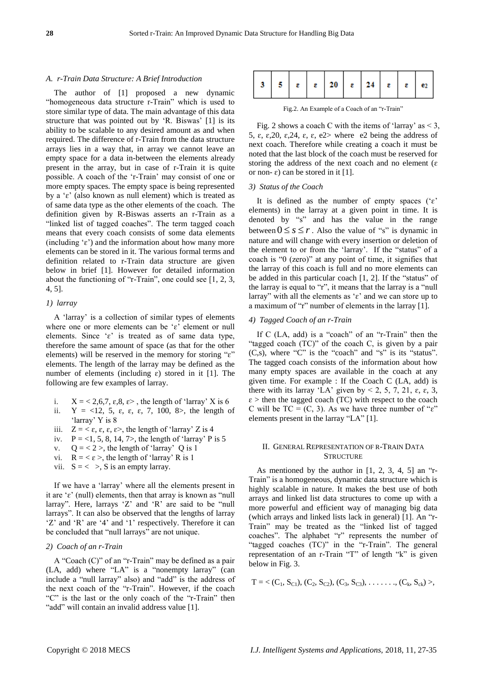## *A. r-Train Data Structure: A Brief Introduction*

The author of [1] proposed a new dynamic "homogeneous data structure r-Train" which is used to store similar type of data. The main advantage of this data structure that was pointed out by 'R. Biswas' [1] is its ability to be scalable to any desired amount as and when required. The difference of r-Train from the data structure arrays lies in a way that, in array we cannot leave an empty space for a data in-between the elements already present in the array, but in case of r-Train it is quite possible. A coach of the 'r-Train' may consist of one or more empty spaces. The empty space is being represented by a ' $\varepsilon$ ' (also known as null element) which is treated as of same data type as the other elements of the coach. The definition given by R-Biswas asserts an r-Train as a "linked list of tagged coaches". The term tagged coach means that every coach consists of some data elements (including  $\epsilon$ ) and the information about how many more elements can be stored in it. The various formal terms and definition related to r-Train data structure are given below in brief [1]. However for detailed information about the functioning of "r-Train", one could see [1, 2, 3, 4, 5].

## *1) larray*

A 'larray' is a collection of similar types of elements where one or more elements can be 'ɛ' element or null elements. Since ' $\varepsilon$ ' is treated as of same data type, therefore the same amount of space (as that for the other elements) will be reserved in the memory for storing "ɛ" elements. The length of the larray may be defined as the number of elements (including  $\varepsilon$ ) stored in it [1]. The following are few examples of larray.

- i.  $X = \langle 2, 6, 7, \varepsilon, 8, \varepsilon \rangle$ , the length of 'larray' X is 6
- ii.  $Y = \langle 12, 5, \varepsilon, \varepsilon, 7, 100, 8 \rangle$ , the length of 'larray' Y is 8
- iii.  $Z = \langle \varepsilon, \varepsilon, \varepsilon \rangle$ , the length of 'larray' Z is 4
- iv.  $P = <1, 5, 8, 14, 7>$ , the length of 'larray' P is 5
- v.  $Q = 2$ , the length of 'larray' Q is 1
- vi.  $R = \langle \varepsilon \rangle$ , the length of 'larray' R is 1
- vii.  $S = \langle \rangle$ , S is an empty larray.

If we have a 'larray' where all the elements present in it are 'ɛ' (null) elements, then that array is known as "null larray". Here, larrays 'Z' and 'R' are said to be "null larrays". It can also be observed that the lengths of larray 'Z' and 'R' are '4' and '1' respectively. Therefore it can be concluded that "null larrays" are not unique.

# *2) Coach of an r-Train*

A "Coach (C)" of an "r-Train" may be defined as a pair (LA, add) where "LA" is a "nonempty larray" (can include a "null larray" also) and "add" is the address of the next coach of the "r-Train". However, if the coach "C" is the last or the only coach of the "r-Train" then "add" will contain an invalid address value [1].

| 3   5   $\epsilon$   $\epsilon$   20   $\epsilon$   24   $\epsilon$   $\epsilon$   $\epsilon$   $\epsilon$ |  |  |  |  |
|------------------------------------------------------------------------------------------------------------|--|--|--|--|
|------------------------------------------------------------------------------------------------------------|--|--|--|--|

Fig.2. An Example of a Coach of an "r-Train"

Fig. 2 shows a coach C with the items of 'larray' as  $< 3$ , 5,  $\varepsilon$ ,  $\varepsilon$ ,  $20$ ,  $\varepsilon$ ,  $24$ ,  $\varepsilon$ ,  $\varepsilon$ ,  $\varepsilon$ ,  $\varepsilon$  > where  $\varepsilon$  being the address of next coach. Therefore while creating a coach it must be noted that the last block of the coach must be reserved for storing the address of the next coach and no element ( $\varepsilon$ ) or non- $\varepsilon$ ) can be stored in it [1].

## *3) Status of the Coach*

It is defined as the number of empty spaces ( $\epsilon$ ) elements) in the larray at a given point in time. It is denoted by "s" and has the value in the range between  $0 \leq s \leq r$ . Also the value of "s" is dynamic in nature and will change with every insertion or deletion of the element to or from the 'larray'. If the "status" of a coach is "0 (zero)" at any point of time, it signifies that the larray of this coach is full and no more elements can be added in this particular coach [1, 2]. If the "status" of the larray is equal to "r", it means that the larray is a "null larray" with all the elements as ' $\varepsilon$ ' and we can store up to a maximum of "r" number of elements in the larray [1].

#### *4) Tagged Coach of an r-Train*

If C (LA, add) is a "coach" of an "r-Train" then the "tagged coach (TC)" of the coach C, is given by a pair  $(C,s)$ , where " $C$ " is the "coach" and "s" is its "status". The tagged coach consists of the information about how many empty spaces are available in the coach at any given time. For example : If the Coach C (LA, add) is there with its larray 'LA' given by < 2, 5, 7, 21,  $\varepsilon$ ,  $\varepsilon$ , 3,  $\varepsilon$  > then the tagged coach (TC) with respect to the coach C will be  $TC = (C, 3)$ . As we have three number of " $\varepsilon$ " elements present in the larray "LA" [1].

## II. GENERAL REPRESENTATION OF R-TRAIN DATA **STRUCTURE**

As mentioned by the author in  $[1, 2, 3, 4, 5]$  an "r-Train" is a homogeneous, dynamic data structure which is highly scalable in nature. It makes the best use of both arrays and linked list data structures to come up with a more powerful and efficient way of managing big data (which arrays and linked lists lack in general) [1]. An "r-Train" may be treated as the "linked list of tagged coaches". The alphabet "r" represents the number of "tagged coaches (TC)" in the "r-Train". The general representation of an r-Train "T" of length "k" is given below in Fig. 3.

$$
T = \langle (C_1, S_{C1}), (C_2, S_{C2}), (C_3, S_{C3}), \ldots, \ldots, (C_k, S_{ck}) \rangle,
$$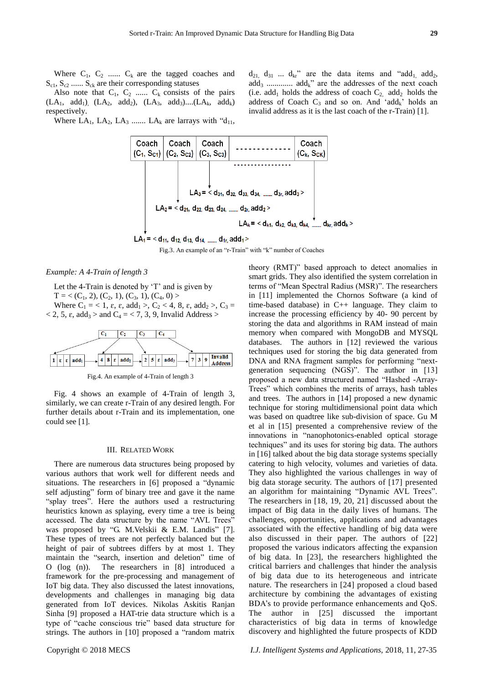Where  $C_1$ ,  $C_2$  ......  $C_k$  are the tagged coaches and  $S_{c1}$ ,  $S_{c2}$  ......  $S_{ck}$  are their corresponding statuses

Also note that  $C_1$ ,  $C_2$  ......  $C_k$  consists of the pairs  $(LA_1, \text{add}_1), (LA_2, \text{add}_2), (LA_3, \text{add}_3)....(LA_k, \text{add}_k)$ respectively.

Where  $LA_1$ ,  $LA_2$ ,  $LA_3$  .......  $LA_k$  are larrays with " $d_{11}$ ,



Fig.3. An example of an "r-Train" with "k" number of Coaches

*Example: A 4-Train of length 3* 

Let the 4-Train is denoted by 'T' and is given by

 $T = \langle (C_1, 2), (C_2, 1), (C_3, 1), (C_4, 0) \rangle$ Where  $C_1 = < 1$ ,  $\varepsilon$ ,  $\varepsilon$ , add<sub>1</sub> >,  $C_2 < 4$ , 8,  $\varepsilon$ , add<sub>2</sub> >,  $C_3$  =  $<$  2, 5,  $\varepsilon$ , add<sub>3</sub> > and C<sub>4</sub> = < 7, 3, 9, Invalid Address >



Fig.4. An example of 4-Train of length 3

Fig. 4 shows an example of 4-Train of length 3, similarly, we can create r-Train of any desired length. For further details about r-Train and its implementation, one could see [1].

#### III. RELATED WORK

There are numerous data structures being proposed by various authors that work well for different needs and situations. The researchers in [6] proposed a "dynamic self adjusting" form of binary tree and gave it the name "splay trees". Here the authors used a restructuring heuristics known as splaying, every time a tree is being accessed. The data structure by the name "AVL Trees" was proposed by "G. M.Velskii & E.M. Landis" [7]. These types of trees are not perfectly balanced but the height of pair of subtrees differs by at most 1. They maintain the "search, insertion and deletion" time of O (log (n)). The researchers in [8] introduced a framework for the pre-processing and management of IoT big data. They also discussed the latest innovations, developments and challenges in managing big data generated from IoT devices. Nikolas Askitis Ranjan Sinha [9] proposed a HAT-trie data structure which is a type of "cache conscious trie" based data structure for strings. The authors in [10] proposed a "random matrix

theory (RMT)" based approach to detect anomalies in smart grids. They also identified the system correlation in terms of "Mean Spectral Radius (MSR)". The researchers in [11] implemented the Chornos Software (a kind of time-based database) in C++ language. They claim to increase the processing efficiency by 40- 90 percent by storing the data and algorithms in RAM instead of main memory when compared with MongoDB and MYSQL databases. The authors in [12] reviewed the various techniques used for storing the big data generated from DNA and RNA fragment samples for performing "nextgeneration sequencing (NGS)". The author in [13] proposed a new data structured named "Hashed -Array-Trees" which combines the merits of arrays, hash tables and trees. The authors in [14] proposed a new dynamic technique for storing multidimensional point data which was based on quadtree like sub-division of space. Gu M et al in [15] presented a comprehensive review of the innovations in "nanophotonics-enabled optical storage techniques" and its uses for storing big data. The authors in [16] talked about the big data storage systems specially catering to high velocity, volumes and varieties of data. They also highlighted the various challenges in way of big data storage security. The authors of [17] presented an algorithm for maintaining "Dynamic AVL Trees". The researchers in [18, 19, 20, 21] discussed about the impact of Big data in the daily lives of humans. The challenges, opportunities, applications and advantages associated with the effective handling of big data were also discussed in their paper. The authors of [22] proposed the various indicators affecting the expansion of big data. In [23], the researchers highlighted the critical barriers and challenges that hinder the analysis of big data due to its heterogeneous and intricate nature. The researchers in [24] proposed a cloud based architecture by combining the advantages of existing BDA's to provide performance enhancements and QoS. The author in [25] discussed the important characteristics of big data in terms of knowledge discovery and highlighted the future prospects of KDD

 $d_{21}$ ,  $d_{31}$  ...  $d_{kr}$ " are the data items and "add<sub>1</sub>, add<sub>2</sub>,  $add_3$  ...............  $add_k$ " are the addresses of the next coach (i.e. add<sub>1</sub> holds the address of coach  $C_2$ , add<sub>2</sub> holds the address of Coach  $C_3$  and so on. And 'add<sub>k</sub>' holds an invalid address as it is the last coach of the r-Train) [1].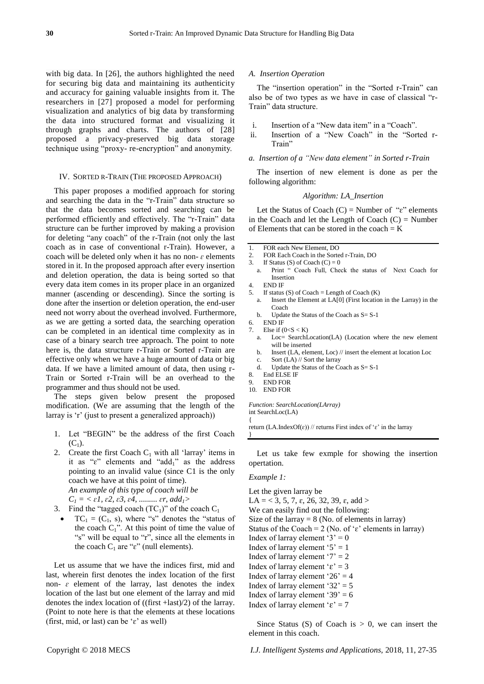with big data. In [26], the authors highlighted the need for securing big data and maintaining its authenticity and accuracy for gaining valuable insights from it. The researchers in [27] proposed a model for performing visualization and analytics of big data by transforming the data into structured format and visualizing it through graphs and charts. The authors of [28] proposed a privacy-preserved big data storage technique using "proxy- re-encryption" and anonymity.

#### IV. SORTED R-TRAIN (THE PROPOSED APPROACH)

This paper proposes a modified approach for storing and searching the data in the "r-Train" data structure so that the data becomes sorted and searching can be performed efficiently and effectively. The "r-Train" data structure can be further improved by making a provision for deleting "any coach" of the r-Train (not only the last coach as in case of conventional r-Train). However, a coach will be deleted only when it has no non- $\varepsilon$  elements stored in it. In the proposed approach after every insertion and deletion operation, the data is being sorted so that every data item comes in its proper place in an organized manner (ascending or descending). Since the sorting is done after the insertion or deletion operation, the end-user need not worry about the overhead involved. Furthermore, as we are getting a sorted data, the searching operation can be completed in an identical time complexity as in case of a binary search tree approach. The point to note here is, the data structure r-Train or Sorted r-Train are effective only when we have a huge amount of data or big data. If we have a limited amount of data, then using r-Train or Sorted r-Train will be an overhead to the programmer and thus should not be used.

The steps given below present the proposed modification. (We are assuming that the length of the larray is 'r' (just to present a generalized approach))

- 1. Let "BEGIN" be the address of the first Coach  $(C_1)$ .
- 2. Create the first Coach  $C_1$  with all 'larray' items in it as " $\varepsilon$ " elements and "add<sub>1</sub>" as the address pointing to an invalid value (since C1 is the only coach we have at this point of time). *An example of this type of coach will be*   $C_1 = \langle \varepsilon_1, \varepsilon_2, \varepsilon_3, \varepsilon_4, \dots, \varepsilon_r, \varepsilon_d \rangle$
- 3. Find the "tagged coach  $(TC_1)$ " of the coach  $C_1$ 
	- $TC_1 = (C_1, s)$ , where "s" denotes the "status of the coach  $C_1$ ". At this point of time the value of "s" will be equal to "r", since all the elements in the coach  $C_1$  are " $\varepsilon$ " (null elements).

Let us assume that we have the indices first, mid and last, wherein first denotes the index location of the first non- $\varepsilon$  element of the larray, last denotes the index location of the last but one element of the larray and mid denotes the index location of ((first +last)/2) of the larray. (Point to note here is that the elements at these locations (first, mid, or last) can be  $\epsilon$ ' as well)

#### *A. Insertion Operation*

The "insertion operation" in the "Sorted r-Train" can also be of two types as we have in case of classical "r-Train" data structure.

- i. Insertion of a "New data item" in a "Coach".
- ii. Insertion of a "New Coach" in the "Sorted r-Train"

# *a. Insertion of a "New data element" in Sorted r-Train*

The insertion of new element is done as per the following algorithm:

#### *Algorithm: LA\_Insertion*

Let the Status of Coach  $(C)$  = Number of " $\varepsilon$ " elements in the Coach and let the Length of Coach  $(C)$  = Number of Elements that can be stored in the coach  $= K$ 

- 1 FOR each New Element, DO
- 2. FOR Each Coach in the Sorted r-Train, DO
- 3. If Status (S) of Coach  $(C) = 0$
- a. Print " Coach Full, Check the status of Next Coach for Insertion
- 4. END IF
- 5. If status  $(S)$  of Coach = Length of Coach  $(K)$ 
	- Insert the Element at LA[0] (First location in the Larray) in the Coach
	- b. Update the Status of the Coach as S= S-1
- 6. END IF
- 7. Else if  $(0 < S < K)$ 
	- a. Loc= SearchLocation(LA) (Location where the new element will be inserted
	- b. Insert (LA, element, Loc) // insert the element at location Loc
	- Sort (LA) // Sort the larray
	- d. Update the Status of the Coach as S= S-1
- 8. End ELSE IF
- 9. END FOR 10. END FOR

{

}

*Function: SearchLocation(LArray)* int SearchLoc(LA)

return (LA.IndexOf( $\varepsilon$ )) // returns First index of ' $\varepsilon$ ' in the larray

Let us take few exmple for showing the insertion opertation.

## *Example 1:*

Let the given larray be LA = < 3, 5, 7,  $\varepsilon$ , 26, 32, 39,  $\varepsilon$ , add > We can easily find out the following: Size of the larray  $= 8$  (No. of elements in larray) Status of the Coach = 2 (No. of ' $\varepsilon$ ' elements in larray) Index of larray element ' $3' = 0$ Index of larray element ' $5' = 1$ Index of larray element ' $7' = 2$ Index of larray element ' $\varepsilon$ ' = 3 Index of larray element ' $26' = 4$ Index of larray element '32'  $=$  5 Index of larray element '39'  $= 6$ Index of larray element ' $\varepsilon$ ' = 7

Since Status (S) of Coach is  $> 0$ , we can insert the element in this coach.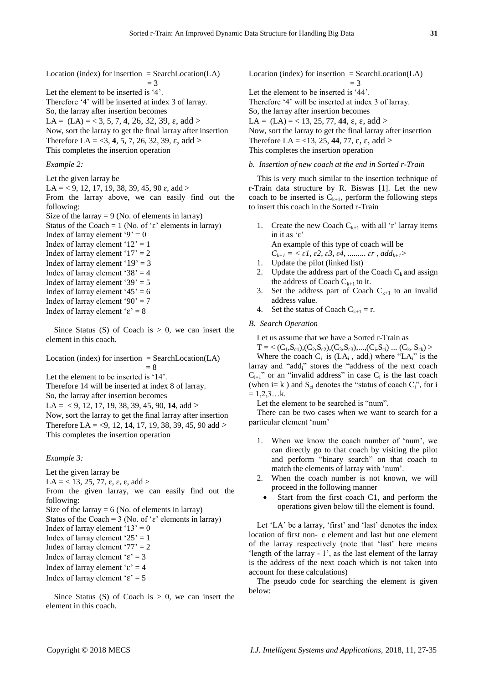Location (index) for insertion  $=$  SearchLocation(LA)  $=$  3 Let the element to be inserted is '4'. Therefore '4' will be inserted at index 3 of larray. So, the larray after insertion becomes LA =  $(LA) = 3, 5, 7, 4, 26, 32, 39, \varepsilon$ , add >

Now, sort the larray to get the final larray after insertion Therefore LA = <3, **4**, 5, 7, 26, 32, 39,  $\varepsilon$ , add > This completes the insertion operation

# *Example 2:*

Let the given larray be

LA = < 9, 12, 17, 19, 38, 39, 45, 90  $\varepsilon$ , add >

From the larray above, we can easily find out the following:

Size of the larray  $= 9$  (No. of elements in larray) Status of the Coach = 1 (No. of ' $\varepsilon$ ' elements in larray)

Index of larray element '9' = 0 Index of larray element ' $12' = 1$ Index of larray element ' $17' = 2$ Index of larray element ' $19' = 3$ Index of larray element '38'  $=$  4 Index of larray element '39'  $=$  5 Index of larray element ' $45' = 6$ 

- Index of larray element '90'  $= 7$
- Index of larray element ' $\varepsilon$ ' = 8

Since Status (S) of Coach is  $> 0$ , we can insert the element in this coach.

Location (index) for insertion  $=$  SearchLocation(LA)  $= 8$ 

Let the element to be inserted is '14'.

Therefore 14 will be inserted at index 8 of larray.

So, the larray after insertion becomes

 $LA = \langle 9, 12, 17, 19, 38, 39, 45, 90, 14, add \rangle$ 

Now, sort the larray to get the final larray after insertion Therefore LA = <9, 12, **14**, 17, 19, 38, 39, 45, 90 add > This completes the insertion operation

# *Example 3:*

Let the given larray be LA = < 13, 25, 77,  $\varepsilon$ ,  $\varepsilon$ ,  $\varepsilon$ , add > From the given larray, we can easily find out the following: Size of the larray  $= 6$  (No. of elements in larray) Status of the Coach = 3 (No. of ' $\varepsilon$ ' elements in larray) Index of larray element ' $13' = 0$ Index of larray element ' $25' = 1$ Index of larray element '77' =  $2$ Index of larray element ' $\varepsilon$ ' = 3 Index of larray element ' $\varepsilon$ ' = 4 Index of larray element ' $\varepsilon$ ' = 5

Since Status (S) of Coach is  $> 0$ , we can insert the element in this coach.

Location (index) for insertion  $=$  SearchLocation(LA)  $=$  3 Let the element to be inserted is '44'. Therefore '4' will be inserted at index 3 of larray. So, the larray after insertion becomes LA =  $(LA) = < 13, 25, 77, 44, \varepsilon, \varepsilon, \text{add} >$ Now, sort the larray to get the final larray after insertion Therefore LA =  $\langle 13, 25, 44, 77, \varepsilon, \varepsilon, \text{ add} \rangle$ This completes the insertion operation

## *b. Insertion of new coach at the end in Sorted r-Train*

This is very much similar to the insertion technique of r-Train data structure by R. Biswas [1]. Let the new coach to be inserted is  $C_{k+1}$ , perform the following steps to insert this coach in the Sorted r-Train

1. Create the new Coach  $C_{k+1}$  with all 'r' larray items in it as 'ɛ'

An example of this type of coach will be

 $C_{k+1} = \langle \varepsilon_1, \varepsilon_2, \varepsilon_3, \varepsilon_4, \dots, \varepsilon_r, \varepsilon_d \rangle$ 

- 1. Update the pilot (linked list)
- 2. Update the address part of the Coach  $C_k$  and assign the address of Coach  $C_{k+1}$  to it.
- 3. Set the address part of Coach  $C_{k+1}$  to an invalid address value.
- 4. Set the status of Coach  $C_{k+1} = r$ .

## *B. Search Operation*

Let us assume that we have a Sorted r-Train as

 $T = \langle (C_1, S_{c1}), (C_2, S_{c2}), (C_3, S_{c3}), ..., (C_i, S_{ci}) \dots (C_k, S_{ck}) \rangle$ 

Where the coach  $C_i$  is  $(LA_i, add_i)$  where "LA<sub>i</sub>" is the larray and "add<sub>i</sub>" stores the "address of the next coach  $C_{i+1}$ " or an "invalid address" in case  $C_i$  is the last coach (when i= k) and  $S_{ci}$  denotes the "status of coach  $C_i$ ", for i  $= 1, 2, 3, \ldots$ k.

Let the element to be searched is "num".

There can be two cases when we want to search for a particular element 'num'

- 1. When we know the coach number of 'num', we can directly go to that coach by visiting the pilot and perform "binary search" on that coach to match the elements of larray with 'num'.
- 2. When the coach number is not known, we will proceed in the following manner
	- Start from the first coach C1, and perform the operations given below till the element is found.

Let 'LA' be a larray, 'first' and 'last' denotes the index location of first non- ɛ element and last but one element of the larray respectively (note that 'last' here means 'length of the larray - 1', as the last element of the larray is the address of the next coach which is not taken into account for these calculations)

The pseudo code for searching the element is given below: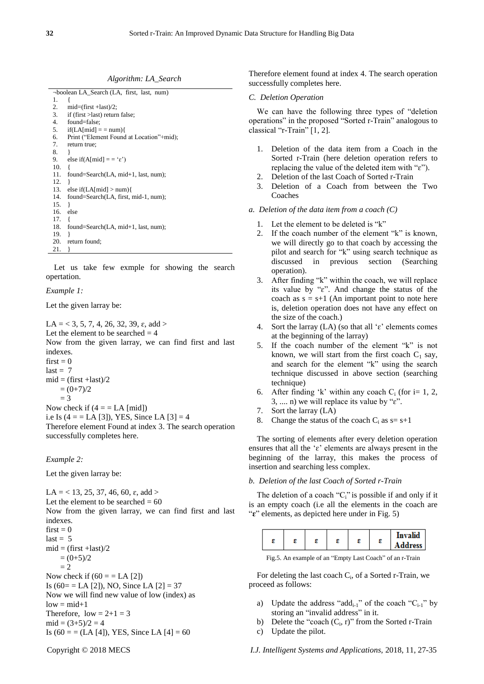*Algorithm: LA\_Search*

|     | -boolean LA_Search (LA, first, last, num) |
|-----|-------------------------------------------|
| 1.  |                                           |
| 2.  | $mid=(first + last)/2;$                   |
| 3.  | if (first > last) return false;           |
| 4.  | found=false;                              |
| 5.  | $if(LA[\text{mid}] == \text{num})$        |
| 6.  | Print ("Element Found at Location"+mid);  |
| 7.  | return true;                              |
| 8.  | ł                                         |
| 9.  | else if(A[mid] = = ' $\varepsilon$ ')     |
| 10. | ł                                         |
| 11. | found=Search(LA, mid+1, last, num);       |
| 12. | ł                                         |
| 13. | else if(LA[mid] $>$ num){                 |
| 14. | found=Search(LA, first, mid-1, num);      |
| 15. | ł                                         |
| 16. | else                                      |
| 17. | ł                                         |
| 18. | found=Search(LA, mid+1, last, num);       |
| 19. | ∤                                         |
| 20. | return found;                             |
| 21. | ł                                         |

Let us take few exmple for showing the search opertation.

## *Example 1:*

Let the given larray be:

LA = < 3, 5, 7, 4, 26, 32, 39,  $\varepsilon$ , add > Let the element to be searched  $= 4$ Now from the given larray, we can find first and last indexes.  $first = 0$  $last = 7$  $mid = (first + last)/2$  $= (0+7)/2$  $= 3$ Now check if  $(4 = LA$  [mid]) i.e Is  $(4 = = LA [3])$ , YES, Since LA  $[3] = 4$ 

Therefore element Found at index 3. The search operation successfully completes here.

## *Example 2:*

Let the given larray be:

LA = < 13, 25, 37, 46, 60,  $\varepsilon$ , add > Let the element to be searched  $= 60$ Now from the given larray, we can find first and last indexes.  $first = 0$  $last = 5$  $mid = (first + last)/2$  $= (0+5)/2$  $-2$ Now check if  $(60 = E[A]$ Is  $(60 = \text{LA} [2])$ , NO, Since LA  $[2] = 37$ Now we will find new value of low (index) as  $low = mid+1$ Therefore,  $low = 2+1 = 3$  $mid = (3+5)/2 = 4$ Is  $(60 = (LA [4]), YES, Since LA [4] = 60$ 

#### *C. Deletion Operation*

We can have the following three types of "deletion operations" in the proposed "Sorted r-Train" analogous to classical "r-Train" [1, 2].

- 1. Deletion of the data item from a Coach in the Sorted r-Train (here deletion operation refers to replacing the value of the deleted item with "ɛ").
- 2. Deletion of the last Coach of Sorted r-Train
- 3. Deletion of a Coach from between the Two Coaches
- *a. Deletion of the data item from a coach (C)*
	- 1. Let the element to be deleted is "k"
	- 2. If the coach number of the element "k" is known, we will directly go to that coach by accessing the pilot and search for "k" using search technique as discussed in previous section (Searching operation).
	- 3. After finding "k" within the coach, we will replace its value by "ɛ". And change the status of the coach as  $s = s+1$  (An important point to note here is, deletion operation does not have any effect on the size of the coach.)
	- 4. Sort the larray (LA) (so that all ' $\varepsilon$ ' elements comes at the beginning of the larray)
	- 5. If the coach number of the element "k" is not known, we will start from the first coach  $C_1$  say, and search for the element "k" using the search technique discussed in above section (searching technique)
	- 6. After finding 'k' within any coach  $C_i$  (for i= 1, 2, 3, .... n) we will replace its value by "ɛ".
	- 7. Sort the larray (LA)
	- 8. Change the status of the coach  $C_i$  as  $s= s+1$

The sorting of elements after every deletion operation ensures that all the 'ɛ' elements are always present in the beginning of the larray, this makes the process of insertion and searching less complex.

## *b. Deletion of the last Coach of Sorted r-Train*

The deletion of a coach " $C_i$ " is possible if and only if it is an empty coach (i.e all the elements in the coach are "**ɛ**" elements, as depicted here under in Fig. 5)

| s<br><b>Address</b> |
|---------------------|
|---------------------|

Fig.5. An example of an "Empty Last Coach" of an r-Train

For deleting the last coach C<sub>i</sub>, of a Sorted r-Train, we proceed as follows:

- a) Update the address "add<sub>i-1</sub>" of the coach " $C_{i-1}$ " by storing an "invalid address" in it.
- b) Delete the "coach  $(C_i, r)$ " from the Sorted r-Train
- c) Update the pilot.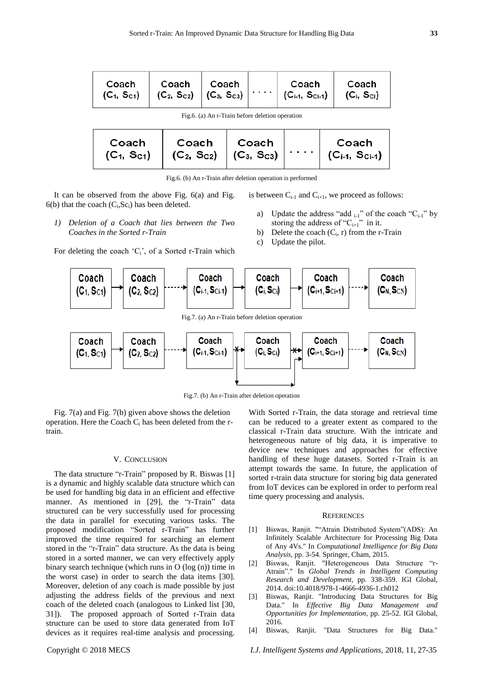| Coach                                           | Coach<br>$(C_1, S_{c1})$ $(C_2, S_{c2})$ $(C_3, S_{c3})$ | Coach |  | Coach<br>$(C_{i-1}, S_{Ci-1})$ | Coach<br>(C <sub>i</sub> , S <sub>ci</sub> ) |
|-------------------------------------------------|----------------------------------------------------------|-------|--|--------------------------------|----------------------------------------------|
| Fig.6. (a) An r-Train before deletion operation |                                                          |       |  |                                |                                              |

| Coach<br>$(C_1, Sc_1)$ | Coach<br>$(C_2, S_{C2})$ $(C_3, S_{C3})$ | ∣ Coach |  | Coach<br>$(C_{i-1}, S_{Ci-1})$ |
|------------------------|------------------------------------------|---------|--|--------------------------------|
|------------------------|------------------------------------------|---------|--|--------------------------------|

Fig.6. (b) An r-Train after deletion operation is performed

It can be observed from the above Fig. 6(a) and Fig.  $6(b)$  that the coach  $(C_i, Sc_i)$  has been deleted.

*1) Deletion of a Coach that lies between the Two* 

For deleting the coach ' $C_i$ ', of a Sorted r-Train which

*Coaches in the Sorted r-Train*

- is between  $C_{i-1}$  and  $C_{i+1}$ , we proceed as follows:
	- Update the address "add  $_{i-1}$ " of the coach "C<sub>i-1</sub>" by storing the address of " $C_{i+1}$ " in it.
	- b) Delete the coach  $(C_i, r)$  from the r-Train
	- c) Update the pilot.



Fig.7. (b) An r-Train after deletion operation

Fig. 7(a) and Fig. 7(b) given above shows the deletion operation. Here the Coach  $C_i$  has been deleted from the rtrain.

#### V. CONCLUSION

The data structure "r-Train" proposed by R. Biswas [1] is a dynamic and highly scalable data structure which can be used for handling big data in an efficient and effective manner. As mentioned in [29], the "r-Train" data structured can be very successfully used for processing the data in parallel for executing various tasks. The proposed modification "Sorted r-Train" has further improved the time required for searching an element stored in the "r-Train" data structure. As the data is being stored in a sorted manner, we can very effectively apply binary search technique (which runs in O (log (n)) time in the worst case) in order to search the data items [30]. Moreover, deletion of any coach is made possible by just adjusting the address fields of the previous and next coach of the deleted coach (analogous to Linked list [30, 31]). The proposed approach of Sorted r-Train data structure can be used to store data generated from IoT devices as it requires real-time analysis and processing.

With Sorted r-Train, the data storage and retrieval time can be reduced to a greater extent as compared to the classical r-Train data structure. With the intricate and heterogeneous nature of big data, it is imperative to device new techniques and approaches for effective handling of these huge datasets. Sorted r-Train is an attempt towards the same. In future, the application of sorted r-train data structure for storing big data generated from IoT devices can be explored in order to perform real time query processing and analysis.

## **REFERENCES**

- [1] Biswas, Ranjit. ""Atrain Distributed System"(ADS): An Infinitely Scalable Architecture for Processing Big Data of Any 4Vs." In *Computational Intelligence for Big Data Analysis*, pp. 3-54. Springer, Cham, 2015.
- [2] Biswas, Ranjit. "Heterogeneous Data Structure "r-Atrain"." In *Global Trends in Intelligent Computing Research and Development*, pp. 338-359. IGI Global, 2014. doi:10.4018/978-1-4666-4936-1.ch012
- [3] Biswas, Ranjit. "Introducing Data Structures for Big Data." In *Effective Big Data Management and Opportunities for Implementation*, pp. 25-52. IGI Global, 2016.
- [4] Biswas, Ranjit. "Data Structures for Big Data."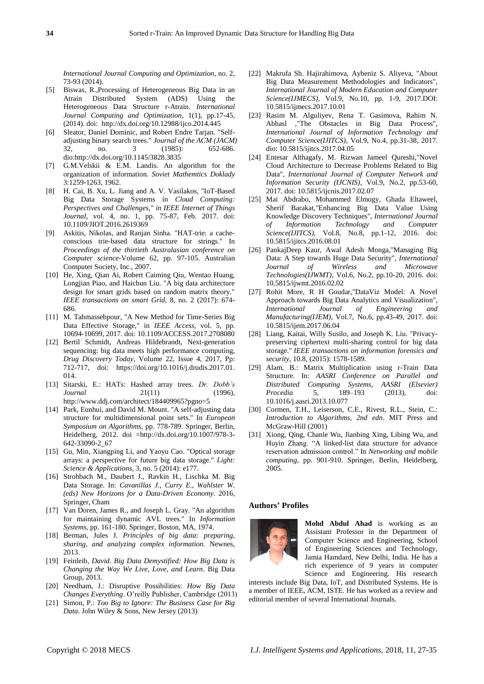*International Journal Computing and Optimization*, no. 2, 73-93 (2014).

- [5] Biswas, R.,Processing of Heterogeneous Big Data in an Atrain Distributed System (ADS) Using the Heterogeneous Data Structure r-Atrain. *International Journal Computing and Optimization*, 1(1), pp.17-45, (2014). doi: <http://dx.doi.org/10.12988/ijco.2014.445>
- [6] Sleator, Daniel Dominic, and Robert Endre Tarjan. "Selfadjusting binary search trees." *Journal of the ACM (JACM)* 32, no. 3 (1985): 652-686. dio:http://dx.doi.org/10.1145/3828.3835
- [7] G.M.Velskii & E.M. Landis. An algorithm for the organization of information. *Soviet Mathemtics Doklady* 3:1259-1263, 1962.
- [8] H. Cai, B. Xu, L. Jiang and A. V. Vasilakos, "IoT-Based Big Data Storage Systems in *Cloud Computing: Perspectives and Challenges," in IEEE Internet of Things Journal*, vol. 4, no. 1, pp. 75-87, Feb. 2017. doi: 10.1109/JIOT.2016.2619369
- [9] Askitis, Nikolas, and Ranjan Sinha. "HAT-trie: a cacheconscious trie-based data structure for strings." In *Proceedings of the thirtieth Australasian conference on Computer science*-Volume 62, pp. 97-105. Australian Computer Society, Inc., 2007.
- [10] He, Xing, Qian Ai, Robert Caiming Qiu, Wentao Huang, Longjian Piao, and Haichun Liu. "A big data architecture design for smart grids based on random matrix theory." *IEEE transactions on smart Grid,* 8, no. 2 (2017): 674- 686.
- [11] M. Tahmassebpour, "A New Method for Time-Series Big Data Effective Storage," in *IEEE Access*, vol. 5, pp. 10694-10699, 2017. doi: 10.1109/ACCESS.2017.2708080
- [12] Bertil Schmidt, Andreas Hildebrandt, Next-generation sequencing: big data meets high performance computing, *Drug Discovery Today*, Volume 22, Issue 4, 2017, Pp: 712-717, doi: https://doi.org/10.1016/j.drudis.2017.01. 014.
- [13] Sitarski, E.: HATs: Hashed array trees. *Dr. Dobb's Journal* 21(11) (1996), http://www.ddj.com/architect/184409965?pgno=5
- [14] Park, Eunhui, and David M. Mount. "A self-adjusting data structure for multidimensional point sets." In *European Symposium on Algorithms*, pp. 778-789. Springer, Berlin, Heidelberg, 2012. doi =http://dx.doi.org/10.1007/978-3- 642-33090-2\_67
- [15] Gu, Min, Xiangping Li, and Yaoyu Cao. "Optical storage arrays: a perspective for future big data storage." *Light: Science & Applications*, 3, no. 5 (2014): e177.
- [16] Strohbach M., Daubert J., Ravkin H., Lischka M. Big Data Storage. In: *Cavanillas J., Curry E., Wahlster W. (eds) New Horizons for a Data-Driven Economy*. 2016, Springer, Cham
- [17] Van Doren, James R., and Joseph L. Gray. "An algorithm for maintaining dynamic AVL trees." In *Information Systems*, pp. 161-180. Springer, Boston, MA, 1974.
- [18] Berman, Jules J. *Principles of big data: preparing, sharing, and analyzing complex information.* Newnes, 2013.
- [19] Feinleib, *David. Big Data Demystified: How Big Data is Changing the Way We Live, Love, and Learn*. Big Data Group, 2013.
- [20] Needham, J.: Disruptive Possibilities: *How Big Data Changes Everything*. O'reilly Publisher, Cambridge (2013)
- [21] Simon, P.: *Too Big to Ignore: The Business Case for Big Data*. John Wiley & Sons, New Jersey (2013)
- [22] Makrufa Sh. Hajirahimova, Aybeniz S. Aliyeva, "About Big Data Measurement Methodologies and Indicators", *International Journal of Modern Education and Computer Science(IJMECS)*, Vol.9, No.10, pp. 1-9, 2017.DOI: 10.5815/ijmecs.2017.10.01
- [23] Rasim M. Alguliyev, Rena T. Gasimova, Rahim N. Abbasl ,"The Obstacles in Big Data Process", *International Journal of Information Technology and Computer Science(IJITCS)*, Vol.9, No.4, pp.31-38, 2017. dio: 10.5815/ijitcs.2017.04.05
- [24] Entesar Althagafy, M. Rizwan Jameel Qureshi,"Novel Cloud Architecture to Decrease Problems Related to Big Data", *International Journal of Computer Network and Information Security (IJCNIS)*, Vol.9, No.2, pp.53-60, 2017. doi: 10.5815/ijcnis.2017.02.07
- [25] Mai Abdrabo, Mohammed Elmogy, Ghada Eltaweel, Sherif Barakat,"Enhancing Big Data Value Using Knowledge Discovery Techniques", *International Journal of Information Technology and Computer Science(IJITCS)*, Vol.8, No.8, pp.1-12, 2016. doi: 10.5815/ijitcs.2016.08.01
- [26] PankajDeep Kaur, Awal Adesh Monga,"Managing Big Data: A Step towards Huge Data Security", *International Journal of Wireless and Microwave Technologies(IJWMT)*, Vol.6, No.2, pp.10-20, 2016. doi: 10.5815/ijwmt.2016.02.02
- [27] Rohit More, R H Goudar,"DataViz Model: A Novel Approach towards Big Data Analytics and Visualization", *International Journal of Engineering and Manufacturing(IJEM)*, Vol.7, No.6, pp.43-49, 2017. doi: 10.5815/ijem.2017.06.04
- [28] Liang, Kaitai, Willy Susilo, and Joseph K. Liu. "Privacypreserving ciphertext multi-sharing control for big data storage." *IEEE transactions on information forensics and security,* 10.8, (2015): 1578-1589.
- [29] Alam, B.: Matrix Multiplication using r-Train Data Structure. In: *AASRI Conference on Parallel and Distributed Computing Systems, AASRI (Elsevier) Procedia* 5, 189–193 (2013), doi: 10.1016/j.aasri.2013.10.077
- [30] Cormen, T.H., Leiserson, C.E., Rivest, R.L., Stein, C.: *Introduction to Algorithms, 2nd edn*. MIT Press and McGraw-Hill (2001)
- [31] Xiong, Qing, Chanle Wu, Jianbing Xing, Libing Wu, and Huyin Zhang. "A linked-list data structure for advance reservation admission control." In *Networking and mobile computing*, pp. 901-910. Springer, Berlin, Heidelberg, 2005.

#### **Authors' Profiles**



**Mohd Abdul Ahad** is working as an Assistant Professor in the Department of Computer Science and Engineering, School of Engineering Sciences and Technology, Jamia Hamdard, New Delhi, India. He has a rich experience of 9 years in computer Science and Engineering. His research

interests include Big Data, IoT, and Distributed Systems. He is a member of IEEE, ACM, ISTE. He has worked as a review and editorial member of several International Journals.